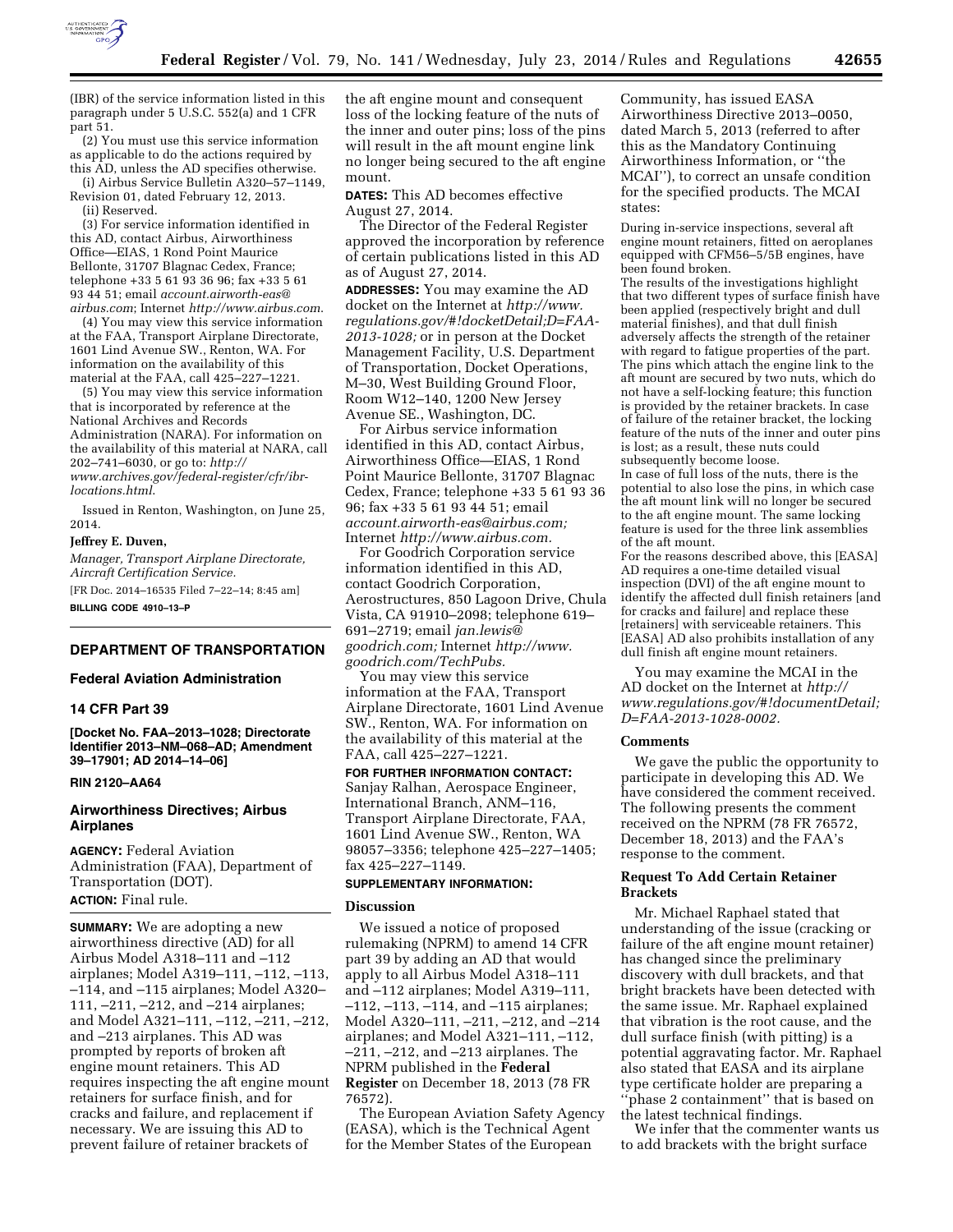

part 51. (2) You must use this service information as applicable to do the actions required by this AD, unless the AD specifies otherwise.

(i) Airbus Service Bulletin A320–57–1149, Revision 01, dated February 12, 2013.

(ii) Reserved.

(3) For service information identified in this AD, contact Airbus, Airworthiness Office—EIAS, 1 Rond Point Maurice Bellonte, 31707 Blagnac Cedex, France; telephone +33 5 61 93 36 96; fax +33 5 61 93 44 51; email *[account.airworth-eas@](mailto:account.airworth-eas@airbus.com) [airbus.com](mailto:account.airworth-eas@airbus.com)*; Internet *<http://www.airbus.com>*.

(4) You may view this service information at the FAA, Transport Airplane Directorate, 1601 Lind Avenue SW., Renton, WA. For information on the availability of this material at the FAA, call 425–227–1221.

(5) You may view this service information that is incorporated by reference at the National Archives and Records Administration (NARA). For information on the availability of this material at NARA, call 202–741–6030, or go to: *[http://](http://www.archives.gov/federal-register/cfr/ibr-locations.html) [www.archives.gov/federal-register/cfr/ibr](http://www.archives.gov/federal-register/cfr/ibr-locations.html)[locations.html](http://www.archives.gov/federal-register/cfr/ibr-locations.html)*.

Issued in Renton, Washington, on June 25, 2014.

## **Jeffrey E. Duven,**

*Manager, Transport Airplane Directorate, Aircraft Certification Service.* 

[FR Doc. 2014–16535 Filed 7–22–14; 8:45 am] **BILLING CODE 4910–13–P** 

# **DEPARTMENT OF TRANSPORTATION**

## **Federal Aviation Administration**

## **14 CFR Part 39**

**[Docket No. FAA–2013–1028; Directorate Identifier 2013–NM–068–AD; Amendment 39–17901; AD 2014–14–06]** 

#### **RIN 2120–AA64**

# **Airworthiness Directives; Airbus Airplanes**

**AGENCY:** Federal Aviation Administration (FAA), Department of Transportation (DOT). **ACTION:** Final rule.

**SUMMARY:** We are adopting a new airworthiness directive (AD) for all Airbus Model A318–111 and –112 airplanes; Model A319–111, –112, –113, –114, and –115 airplanes; Model A320– 111, –211, –212, and –214 airplanes; and Model A321–111, –112, –211, –212, and –213 airplanes. This AD was prompted by reports of broken aft engine mount retainers. This AD requires inspecting the aft engine mount retainers for surface finish, and for cracks and failure, and replacement if necessary. We are issuing this AD to prevent failure of retainer brackets of

the aft engine mount and consequent loss of the locking feature of the nuts of the inner and outer pins; loss of the pins will result in the aft mount engine link no longer being secured to the aft engine mount.

**DATES:** This AD becomes effective August 27, 2014.

The Director of the Federal Register approved the incorporation by reference of certain publications listed in this AD as of August 27, 2014.

**ADDRESSES:** You may examine the AD docket on the Internet at *[http://www.](http://www.regulations.gov/#!docketDetail;D=FAA-2013-1028) [regulations.gov/#!docketDetail;D=FAA-](http://www.regulations.gov/#!docketDetail;D=FAA-2013-1028)[2013-1028;](http://www.regulations.gov/#!docketDetail;D=FAA-2013-1028)* or in person at the Docket Management Facility, U.S. Department of Transportation, Docket Operations, M–30, West Building Ground Floor, Room W12–140, 1200 New Jersey Avenue SE., Washington, DC.

For Airbus service information identified in this AD, contact Airbus, Airworthiness Office—EIAS, 1 Rond Point Maurice Bellonte, 31707 Blagnac Cedex, France; telephone +33 5 61 93 36 96; fax +33 5 61 93 44 51; email *[account.airworth-eas@airbus.com;](mailto:account.airworth-eas@airbus.com)*  Internet *[http://www.airbus.com.](http://www.airbus.com)* 

For Goodrich Corporation service information identified in this AD, contact Goodrich Corporation, Aerostructures, 850 Lagoon Drive, Chula Vista, CA 91910–2098; telephone 619– 691–2719; email *[jan.lewis@](mailto:jan.lewis@goodrich.com) [goodrich.com;](mailto:jan.lewis@goodrich.com)* Internet *[http://www.](http://www.goodrich.com/TechPubs) [goodrich.com/TechPubs.](http://www.goodrich.com/TechPubs)* 

You may view this service information at the FAA, Transport Airplane Directorate, 1601 Lind Avenue SW., Renton, WA. For information on the availability of this material at the FAA, call 425–227–1221.

**FOR FURTHER INFORMATION CONTACT:**  Sanjay Ralhan, Aerospace Engineer, International Branch, ANM–116, Transport Airplane Directorate, FAA, 1601 Lind Avenue SW., Renton, WA 98057–3356; telephone 425–227–1405; fax 425–227–1149.

## **SUPPLEMENTARY INFORMATION:**

#### **Discussion**

We issued a notice of proposed rulemaking (NPRM) to amend 14 CFR part 39 by adding an AD that would apply to all Airbus Model A318–111 and –112 airplanes; Model A319–111, –112, –113, –114, and –115 airplanes; Model A320–111, –211, –212, and –214 airplanes; and Model A321–111, –112, –211, –212, and –213 airplanes. The NPRM published in the **Federal Register** on December 18, 2013 (78 FR 76572).

The European Aviation Safety Agency (EASA), which is the Technical Agent for the Member States of the European

Community, has issued EASA Airworthiness Directive 2013–0050, dated March 5, 2013 (referred to after this as the Mandatory Continuing Airworthiness Information, or ''the MCAI''), to correct an unsafe condition for the specified products. The MCAI states:

During in-service inspections, several aft engine mount retainers, fitted on aeroplanes equipped with CFM56–5/5B engines, have been found broken.

The results of the investigations highlight that two different types of surface finish have been applied (respectively bright and dull material finishes), and that dull finish adversely affects the strength of the retainer with regard to fatigue properties of the part. The pins which attach the engine link to the aft mount are secured by two nuts, which do not have a self-locking feature; this function is provided by the retainer brackets. In case of failure of the retainer bracket, the locking feature of the nuts of the inner and outer pins is lost; as a result, these nuts could subsequently become loose.

In case of full loss of the nuts, there is the potential to also lose the pins, in which case the aft mount link will no longer be secured to the aft engine mount. The same locking feature is used for the three link assemblies of the aft mount.

For the reasons described above, this [EASA] AD requires a one-time detailed visual inspection (DVI) of the aft engine mount to identify the affected dull finish retainers [and for cracks and failure] and replace these [retainers] with serviceable retainers. This [EASA] AD also prohibits installation of any dull finish aft engine mount retainers.

You may examine the MCAI in the AD docket on the Internet at *[http://](http://www.regulations.gov/#!documentDetail) [www.regulations.gov/#!documentDetail;](http://www.regulations.gov/#!documentDetail) D=FAA-2013-1028-0002.* 

# **Comments**

We gave the public the opportunity to participate in developing this AD. We have considered the comment received. The following presents the comment received on the NPRM (78 FR 76572, December 18, 2013) and the FAA's response to the comment.

## **Request To Add Certain Retainer Brackets**

Mr. Michael Raphael stated that understanding of the issue (cracking or failure of the aft engine mount retainer) has changed since the preliminary discovery with dull brackets, and that bright brackets have been detected with the same issue. Mr. Raphael explained that vibration is the root cause, and the dull surface finish (with pitting) is a potential aggravating factor. Mr. Raphael also stated that EASA and its airplane type certificate holder are preparing a ''phase 2 containment'' that is based on the latest technical findings.

We infer that the commenter wants us to add brackets with the bright surface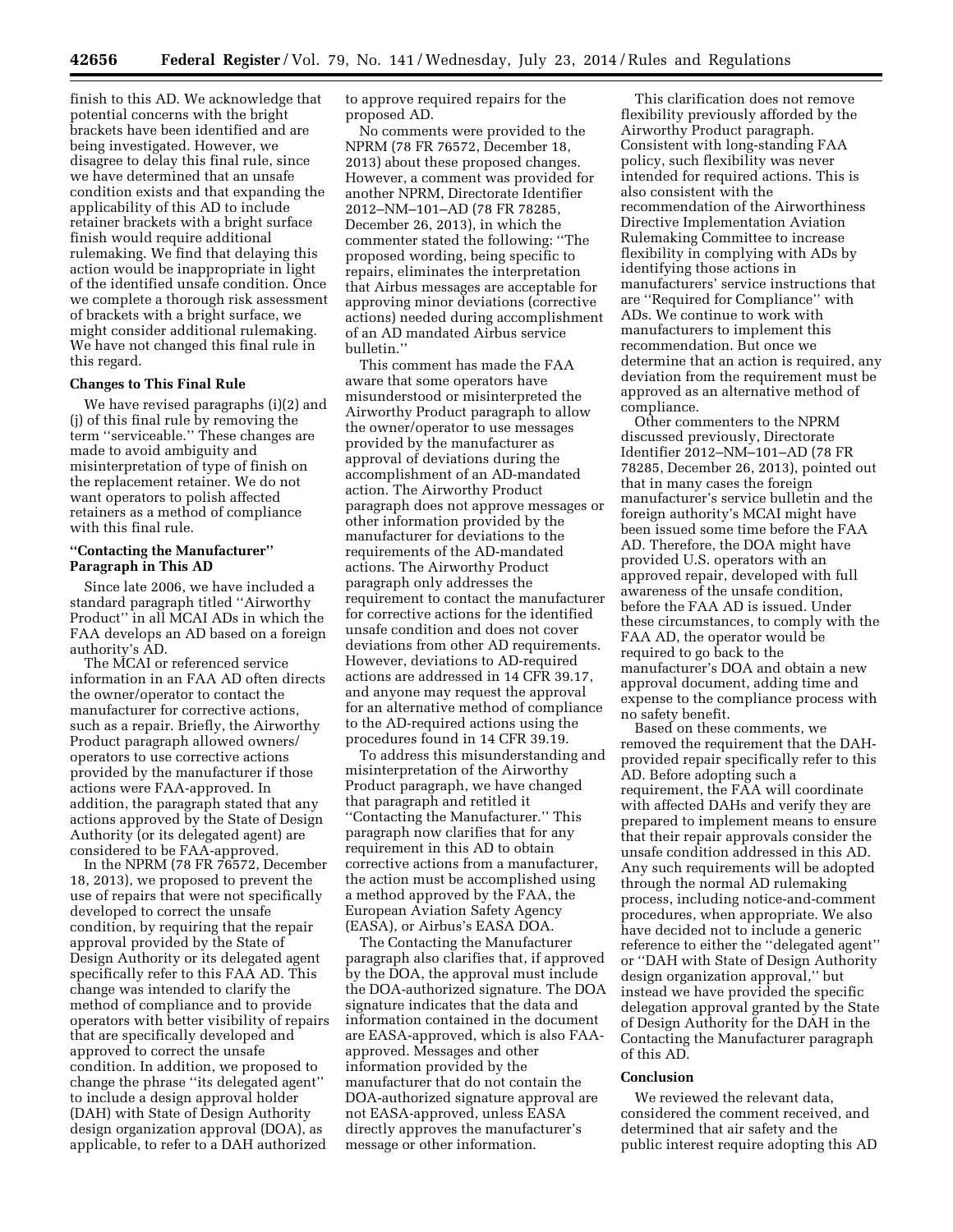finish to this AD. We acknowledge that potential concerns with the bright brackets have been identified and are being investigated. However, we disagree to delay this final rule, since we have determined that an unsafe condition exists and that expanding the applicability of this AD to include retainer brackets with a bright surface finish would require additional rulemaking. We find that delaying this action would be inappropriate in light of the identified unsafe condition. Once we complete a thorough risk assessment of brackets with a bright surface, we might consider additional rulemaking. We have not changed this final rule in this regard.

## **Changes to This Final Rule**

We have revised paragraphs (i)(2) and (j) of this final rule by removing the term ''serviceable.'' These changes are made to avoid ambiguity and misinterpretation of type of finish on the replacement retainer. We do not want operators to polish affected retainers as a method of compliance with this final rule.

## **''Contacting the Manufacturer'' Paragraph in This AD**

Since late 2006, we have included a standard paragraph titled ''Airworthy Product'' in all MCAI ADs in which the FAA develops an AD based on a foreign authority's AD.

The MCAI or referenced service information in an FAA AD often directs the owner/operator to contact the manufacturer for corrective actions, such as a repair. Briefly, the Airworthy Product paragraph allowed owners/ operators to use corrective actions provided by the manufacturer if those actions were FAA-approved. In addition, the paragraph stated that any actions approved by the State of Design Authority (or its delegated agent) are considered to be FAA-approved.

In the NPRM (78 FR 76572, December 18, 2013), we proposed to prevent the use of repairs that were not specifically developed to correct the unsafe condition, by requiring that the repair approval provided by the State of Design Authority or its delegated agent specifically refer to this FAA AD. This change was intended to clarify the method of compliance and to provide operators with better visibility of repairs that are specifically developed and approved to correct the unsafe condition. In addition, we proposed to change the phrase ''its delegated agent'' to include a design approval holder (DAH) with State of Design Authority design organization approval (DOA), as applicable, to refer to a DAH authorized

to approve required repairs for the proposed AD.

No comments were provided to the NPRM (78 FR 76572, December 18, 2013) about these proposed changes. However, a comment was provided for another NPRM, Directorate Identifier 2012–NM–101–AD (78 FR 78285, December 26, 2013), in which the commenter stated the following: ''The proposed wording, being specific to repairs, eliminates the interpretation that Airbus messages are acceptable for approving minor deviations (corrective actions) needed during accomplishment of an AD mandated Airbus service bulletin.''

This comment has made the FAA aware that some operators have misunderstood or misinterpreted the Airworthy Product paragraph to allow the owner/operator to use messages provided by the manufacturer as approval of deviations during the accomplishment of an AD-mandated action. The Airworthy Product paragraph does not approve messages or other information provided by the manufacturer for deviations to the requirements of the AD-mandated actions. The Airworthy Product paragraph only addresses the requirement to contact the manufacturer for corrective actions for the identified unsafe condition and does not cover deviations from other AD requirements. However, deviations to AD-required actions are addressed in 14 CFR 39.17, and anyone may request the approval for an alternative method of compliance to the AD-required actions using the procedures found in 14 CFR 39.19.

To address this misunderstanding and misinterpretation of the Airworthy Product paragraph, we have changed that paragraph and retitled it ''Contacting the Manufacturer.'' This paragraph now clarifies that for any requirement in this AD to obtain corrective actions from a manufacturer, the action must be accomplished using a method approved by the FAA, the European Aviation Safety Agency (EASA), or Airbus's EASA DOA.

The Contacting the Manufacturer paragraph also clarifies that, if approved by the DOA, the approval must include the DOA-authorized signature. The DOA signature indicates that the data and information contained in the document are EASA-approved, which is also FAAapproved. Messages and other information provided by the manufacturer that do not contain the DOA-authorized signature approval are not EASA-approved, unless EASA directly approves the manufacturer's message or other information.

This clarification does not remove flexibility previously afforded by the Airworthy Product paragraph. Consistent with long-standing FAA policy, such flexibility was never intended for required actions. This is also consistent with the recommendation of the Airworthiness Directive Implementation Aviation Rulemaking Committee to increase flexibility in complying with ADs by identifying those actions in manufacturers' service instructions that are ''Required for Compliance'' with ADs. We continue to work with manufacturers to implement this recommendation. But once we determine that an action is required, any deviation from the requirement must be approved as an alternative method of compliance.

Other commenters to the NPRM discussed previously, Directorate Identifier 2012–NM–101–AD (78 FR 78285, December 26, 2013), pointed out that in many cases the foreign manufacturer's service bulletin and the foreign authority's MCAI might have been issued some time before the FAA AD. Therefore, the DOA might have provided U.S. operators with an approved repair, developed with full awareness of the unsafe condition, before the FAA AD is issued. Under these circumstances, to comply with the FAA AD, the operator would be required to go back to the manufacturer's DOA and obtain a new approval document, adding time and expense to the compliance process with no safety benefit.

Based on these comments, we removed the requirement that the DAHprovided repair specifically refer to this AD. Before adopting such a requirement, the FAA will coordinate with affected DAHs and verify they are prepared to implement means to ensure that their repair approvals consider the unsafe condition addressed in this AD. Any such requirements will be adopted through the normal AD rulemaking process, including notice-and-comment procedures, when appropriate. We also have decided not to include a generic reference to either the ''delegated agent'' or ''DAH with State of Design Authority design organization approval,'' but instead we have provided the specific delegation approval granted by the State of Design Authority for the DAH in the Contacting the Manufacturer paragraph of this AD.

#### **Conclusion**

We reviewed the relevant data, considered the comment received, and determined that air safety and the public interest require adopting this AD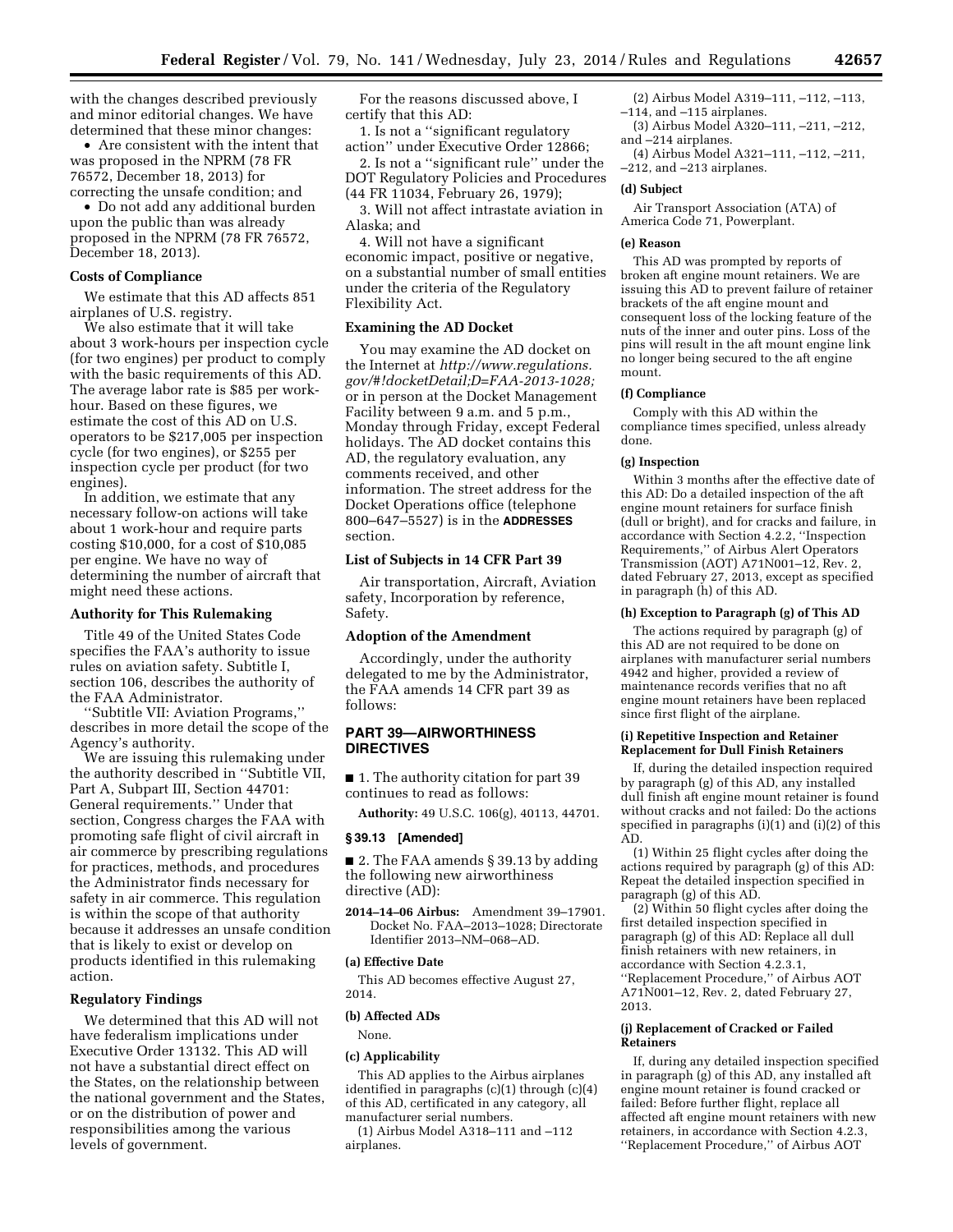with the changes described previously and minor editorial changes. We have determined that these minor changes:

• Are consistent with the intent that was proposed in the NPRM (78 FR 76572, December 18, 2013) for correcting the unsafe condition; and

• Do not add any additional burden upon the public than was already proposed in the NPRM (78 FR 76572, December 18, 2013).

#### **Costs of Compliance**

We estimate that this AD affects 851 airplanes of U.S. registry.

We also estimate that it will take about 3 work-hours per inspection cycle (for two engines) per product to comply with the basic requirements of this AD. The average labor rate is \$85 per workhour. Based on these figures, we estimate the cost of this AD on U.S. operators to be \$217,005 per inspection cycle (for two engines), or \$255 per inspection cycle per product (for two engines).

In addition, we estimate that any necessary follow-on actions will take about 1 work-hour and require parts costing \$10,000, for a cost of \$10,085 per engine. We have no way of determining the number of aircraft that might need these actions.

## **Authority for This Rulemaking**

Title 49 of the United States Code specifies the FAA's authority to issue rules on aviation safety. Subtitle I, section 106, describes the authority of the FAA Administrator.

''Subtitle VII: Aviation Programs,'' describes in more detail the scope of the Agency's authority.

We are issuing this rulemaking under the authority described in ''Subtitle VII, Part A, Subpart III, Section 44701: General requirements.'' Under that section, Congress charges the FAA with promoting safe flight of civil aircraft in air commerce by prescribing regulations for practices, methods, and procedures the Administrator finds necessary for safety in air commerce. This regulation is within the scope of that authority because it addresses an unsafe condition that is likely to exist or develop on products identified in this rulemaking action.

## **Regulatory Findings**

We determined that this AD will not have federalism implications under Executive Order 13132. This AD will not have a substantial direct effect on the States, on the relationship between the national government and the States, or on the distribution of power and responsibilities among the various levels of government.

For the reasons discussed above, I certify that this AD:

1. Is not a ''significant regulatory action'' under Executive Order 12866;

2. Is not a ''significant rule'' under the DOT Regulatory Policies and Procedures (44 FR 11034, February 26, 1979);

3. Will not affect intrastate aviation in Alaska; and

4. Will not have a significant economic impact, positive or negative, on a substantial number of small entities under the criteria of the Regulatory Flexibility Act.

## **Examining the AD Docket**

You may examine the AD docket on the Internet at *[http://www.regulations.](http://www.regulations.gov/#!docketDetail;D=FAA-2013-1028) [gov/#!docketDetail;D=FAA-2013-1028;](http://www.regulations.gov/#!docketDetail;D=FAA-2013-1028)*  or in person at the Docket Management Facility between 9 a.m. and 5 p.m., Monday through Friday, except Federal holidays. The AD docket contains this AD, the regulatory evaluation, any comments received, and other information. The street address for the Docket Operations office (telephone 800–647–5527) is in the **ADDRESSES** section.

#### **List of Subjects in 14 CFR Part 39**

Air transportation, Aircraft, Aviation safety, Incorporation by reference, Safety.

## **Adoption of the Amendment**

Accordingly, under the authority delegated to me by the Administrator, the FAA amends 14 CFR part 39 as follows:

# **PART 39—AIRWORTHINESS DIRECTIVES**

■ 1. The authority citation for part 39 continues to read as follows:

**Authority:** 49 U.S.C. 106(g), 40113, 44701.

## **§ 39.13 [Amended]**

■ 2. The FAA amends § 39.13 by adding the following new airworthiness directive (AD):

**2014–14–06 Airbus:** Amendment 39–17901. Docket No. FAA–2013–1028; Directorate Identifier 2013–NM–068–AD.

#### **(a) Effective Date**

This AD becomes effective August 27, 2014.

## **(b) Affected ADs**

None.

# **(c) Applicability**

This AD applies to the Airbus airplanes identified in paragraphs (c)(1) through (c)(4) of this AD, certificated in any category, all manufacturer serial numbers.

(1) Airbus Model A318–111 and –112 airplanes.

- (2) Airbus Model A319–111, –112, –113, –114, and –115 airplanes.
- (3) Airbus Model A320–111, –211, –212,
- and –214 airplanes. (4) Airbus Model A321–111, –112, –211,

–212, and –213 airplanes.

# **(d) Subject**

Air Transport Association (ATA) of America Code 71, Powerplant.

#### **(e) Reason**

This AD was prompted by reports of broken aft engine mount retainers. We are issuing this AD to prevent failure of retainer brackets of the aft engine mount and consequent loss of the locking feature of the nuts of the inner and outer pins. Loss of the pins will result in the aft mount engine link no longer being secured to the aft engine mount.

#### **(f) Compliance**

Comply with this AD within the compliance times specified, unless already done.

## **(g) Inspection**

Within 3 months after the effective date of this AD: Do a detailed inspection of the aft engine mount retainers for surface finish (dull or bright), and for cracks and failure, in accordance with Section 4.2.2, ''Inspection Requirements,'' of Airbus Alert Operators Transmission (AOT) A71N001–12, Rev. 2, dated February 27, 2013, except as specified in paragraph (h) of this AD.

# **(h) Exception to Paragraph (g) of This AD**

The actions required by paragraph (g) of this AD are not required to be done on airplanes with manufacturer serial numbers 4942 and higher, provided a review of maintenance records verifies that no aft engine mount retainers have been replaced since first flight of the airplane.

## **(i) Repetitive Inspection and Retainer Replacement for Dull Finish Retainers**

If, during the detailed inspection required by paragraph (g) of this AD, any installed dull finish aft engine mount retainer is found without cracks and not failed: Do the actions specified in paragraphs  $(i)(1)$  and  $(i)(2)$  of this AD.

(1) Within 25 flight cycles after doing the actions required by paragraph (g) of this AD: Repeat the detailed inspection specified in paragraph (g) of this AD.

(2) Within 50 flight cycles after doing the first detailed inspection specified in paragraph (g) of this AD: Replace all dull finish retainers with new retainers, in accordance with Section 4.2.3.1, ''Replacement Procedure,'' of Airbus AOT A71N001–12, Rev. 2, dated February 27, 2013.

#### **(j) Replacement of Cracked or Failed Retainers**

If, during any detailed inspection specified in paragraph (g) of this AD, any installed aft engine mount retainer is found cracked or failed: Before further flight, replace all affected aft engine mount retainers with new retainers, in accordance with Section 4.2.3, ''Replacement Procedure,'' of Airbus AOT